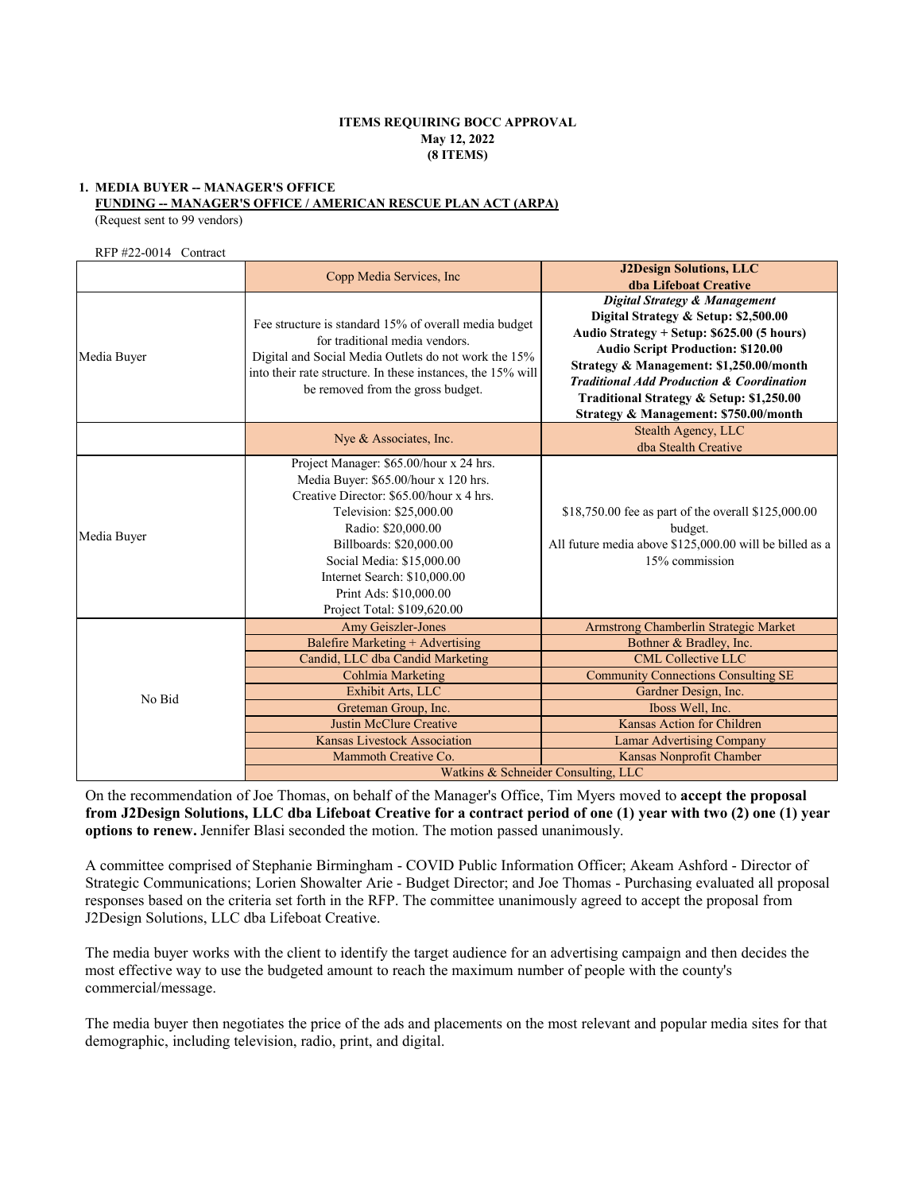### **ITEMS REQUIRING BOCC APPROVAL (8 ITEMS) May 12, 2022**

### **FUNDING -- MANAGER'S OFFICE / AMERICAN RESCUE PLAN ACT (ARPA) 1. MEDIA BUYER -- MANAGER'S OFFICE**

(Request sent to 99 vendors)

RFP #22-0014 Contract

|             | Copp Media Services, Inc.                                                                                                                                                                                                                                                                                                     | <b>J2Design Solutions, LLC</b><br>dba Lifeboat Creative                                                                                                                                                                                                                                                                                                 |  |
|-------------|-------------------------------------------------------------------------------------------------------------------------------------------------------------------------------------------------------------------------------------------------------------------------------------------------------------------------------|---------------------------------------------------------------------------------------------------------------------------------------------------------------------------------------------------------------------------------------------------------------------------------------------------------------------------------------------------------|--|
| Media Buyer | Fee structure is standard 15% of overall media budget<br>for traditional media vendors.<br>Digital and Social Media Outlets do not work the 15%<br>into their rate structure. In these instances, the 15% will<br>be removed from the gross budget.                                                                           | Digital Strategy & Management<br>Digital Strategy & Setup: \$2,500.00<br>Audio Strategy + Setup: \$625.00 (5 hours)<br><b>Audio Script Production: \$120.00</b><br>Strategy & Management: \$1,250.00/month<br><b>Traditional Add Production &amp; Coordination</b><br>Traditional Strategy & Setup: \$1,250.00<br>Strategy & Management: \$750.00/month |  |
|             | Nye & Associates, Inc.                                                                                                                                                                                                                                                                                                        | Stealth Agency, LLC<br>dba Stealth Creative                                                                                                                                                                                                                                                                                                             |  |
| Media Buyer | Project Manager: \$65.00/hour x 24 hrs.<br>Media Buyer: \$65.00/hour x 120 hrs.<br>Creative Director: \$65.00/hour x 4 hrs.<br>Television: \$25,000.00<br>Radio: \$20,000.00<br>Billboards: \$20,000.00<br>Social Media: \$15,000.00<br>Internet Search: \$10,000.00<br>Print Ads: \$10,000.00<br>Project Total: \$109,620.00 | \$18,750.00 fee as part of the overall \$125,000.00<br>budget.<br>All future media above \$125,000.00 will be billed as a<br>15% commission                                                                                                                                                                                                             |  |
|             | <b>Amy Geiszler-Jones</b>                                                                                                                                                                                                                                                                                                     | Armstrong Chamberlin Strategic Market                                                                                                                                                                                                                                                                                                                   |  |
|             | Balefire Marketing + Advertising                                                                                                                                                                                                                                                                                              | Bothner & Bradley, Inc.                                                                                                                                                                                                                                                                                                                                 |  |
|             | Candid, LLC dba Candid Marketing<br><b>Cohlmia Marketing</b>                                                                                                                                                                                                                                                                  | CML Collective LLC<br><b>Community Connections Consulting SE</b>                                                                                                                                                                                                                                                                                        |  |
| No Bid      | Exhibit Arts, LLC                                                                                                                                                                                                                                                                                                             | Gardner Design, Inc.                                                                                                                                                                                                                                                                                                                                    |  |
|             | Greteman Group, Inc.                                                                                                                                                                                                                                                                                                          | Iboss Well, Inc.                                                                                                                                                                                                                                                                                                                                        |  |
|             | Justin McClure Creative                                                                                                                                                                                                                                                                                                       | Kansas Action for Children                                                                                                                                                                                                                                                                                                                              |  |
|             | Kansas Livestock Association                                                                                                                                                                                                                                                                                                  | <b>Lamar Advertising Company</b>                                                                                                                                                                                                                                                                                                                        |  |
|             | Mammoth Creative Co.                                                                                                                                                                                                                                                                                                          | Kansas Nonprofit Chamber                                                                                                                                                                                                                                                                                                                                |  |
|             | Watkins & Schneider Consulting, LLC                                                                                                                                                                                                                                                                                           |                                                                                                                                                                                                                                                                                                                                                         |  |

On the recommendation of Joe Thomas, on behalf of the Manager's Office, Tim Myers moved to **accept the proposal from J2Design Solutions, LLC dba Lifeboat Creative for a contract period of one (1) year with two (2) one (1) year options to renew.** Jennifer Blasi seconded the motion. The motion passed unanimously.

A committee comprised of Stephanie Birmingham - COVID Public Information Officer; Akeam Ashford - Director of Strategic Communications; Lorien Showalter Arie - Budget Director; and Joe Thomas - Purchasing evaluated all proposal responses based on the criteria set forth in the RFP. The committee unanimously agreed to accept the proposal from J2Design Solutions, LLC dba Lifeboat Creative.

The media buyer works with the client to identify the target audience for an advertising campaign and then decides the most effective way to use the budgeted amount to reach the maximum number of people with the county's commercial/message.

The media buyer then negotiates the price of the ads and placements on the most relevant and popular media sites for that demographic, including television, radio, print, and digital.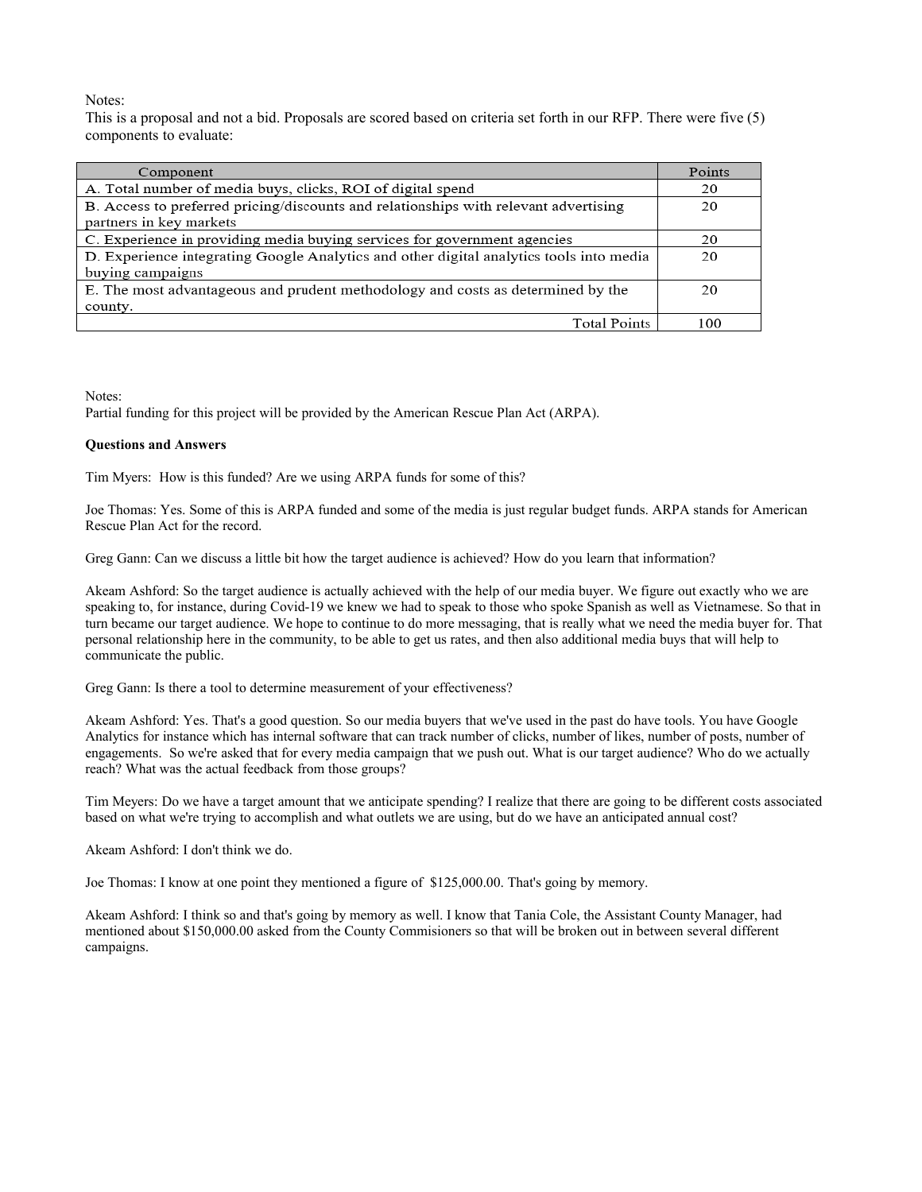### Notes:

This is a proposal and not a bid. Proposals are scored based on criteria set forth in our RFP. There were five (5) components to evaluate:

| Component                                                                               | Points |  |
|-----------------------------------------------------------------------------------------|--------|--|
| A. Total number of media buys, clicks, ROI of digital spend                             | 20     |  |
| B. Access to preferred pricing/discounts and relationships with relevant advertising    | 20     |  |
| partners in key markets                                                                 |        |  |
| C. Experience in providing media buying services for government agencies                | 20     |  |
| D. Experience integrating Google Analytics and other digital analytics tools into media |        |  |
| buying campaigns                                                                        |        |  |
| E. The most advantageous and prudent methodology and costs as determined by the         |        |  |
| county.                                                                                 |        |  |
| Total Points                                                                            | 100    |  |

Notes<sup>.</sup>

Partial funding for this project will be provided by the American Rescue Plan Act (ARPA).

### **Questions and Answers**

Tim Myers: How is this funded? Are we using ARPA funds for some of this?

Joe Thomas: Yes. Some of this is ARPA funded and some of the media is just regular budget funds. ARPA stands for American Rescue Plan Act for the record.

Greg Gann: Can we discuss a little bit how the target audience is achieved? How do you learn that information?

Akeam Ashford: So the target audience is actually achieved with the help of our media buyer. We figure out exactly who we are speaking to, for instance, during Covid-19 we knew we had to speak to those who spoke Spanish as well as Vietnamese. So that in turn became our target audience. We hope to continue to do more messaging, that is really what we need the media buyer for. That personal relationship here in the community, to be able to get us rates, and then also additional media buys that will help to communicate the public.

Greg Gann: Is there a tool to determine measurement of your effectiveness?

Akeam Ashford: Yes. That's a good question. So our media buyers that we've used in the past do have tools. You have Google Analytics for instance which has internal software that can track number of clicks, number of likes, number of posts, number of engagements. So we're asked that for every media campaign that we push out. What is our target audience? Who do we actually reach? What was the actual feedback from those groups?

Tim Meyers: Do we have a target amount that we anticipate spending? I realize that there are going to be different costs associated based on what we're trying to accomplish and what outlets we are using, but do we have an anticipated annual cost?

Akeam Ashford: I don't think we do.

Joe Thomas: I know at one point they mentioned a figure of \$125,000.00. That's going by memory.

Akeam Ashford: I think so and that's going by memory as well. I know that Tania Cole, the Assistant County Manager, had mentioned about \$150,000.00 asked from the County Commisioners so that will be broken out in between several different campaigns.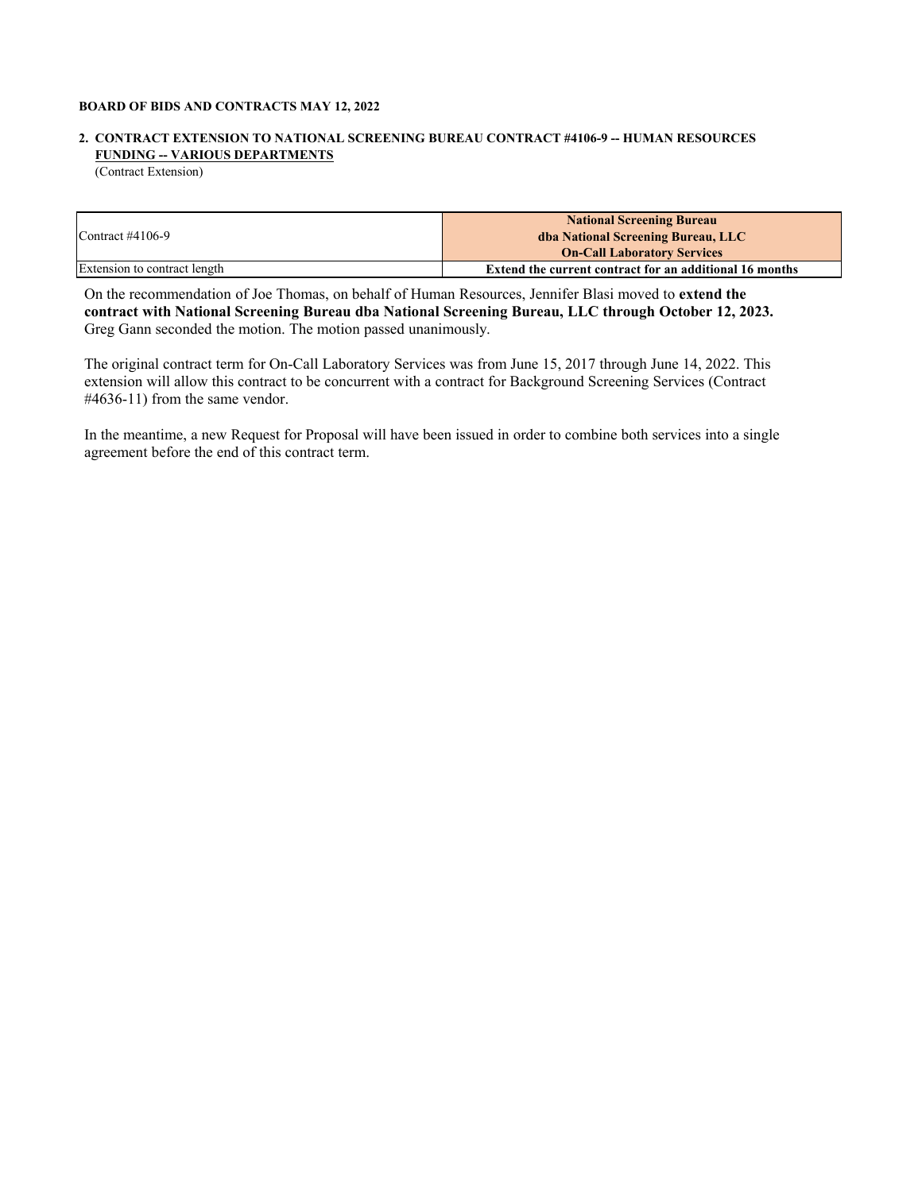### **2. CONTRACT EXTENSION TO NATIONAL SCREENING BUREAU CONTRACT #4106-9 -- HUMAN RESOURCES FUNDING -- VARIOUS DEPARTMENTS**

(Contract Extension)

|                              | <b>National Screening Bureau</b>                        |  |
|------------------------------|---------------------------------------------------------|--|
| Contract $\#4106-9$          | dba National Screening Bureau, LLC                      |  |
|                              | <b>On-Call Laboratory Services</b>                      |  |
| Extension to contract length | Extend the current contract for an additional 16 months |  |

On the recommendation of Joe Thomas, on behalf of Human Resources, Jennifer Blasi moved to **extend the contract with National Screening Bureau dba National Screening Bureau, LLC through October 12, 2023.**  Greg Gann seconded the motion. The motion passed unanimously.

The original contract term for On-Call Laboratory Services was from June 15, 2017 through June 14, 2022. This extension will allow this contract to be concurrent with a contract for Background Screening Services (Contract #4636-11) from the same vendor.

In the meantime, a new Request for Proposal will have been issued in order to combine both services into a single agreement before the end of this contract term.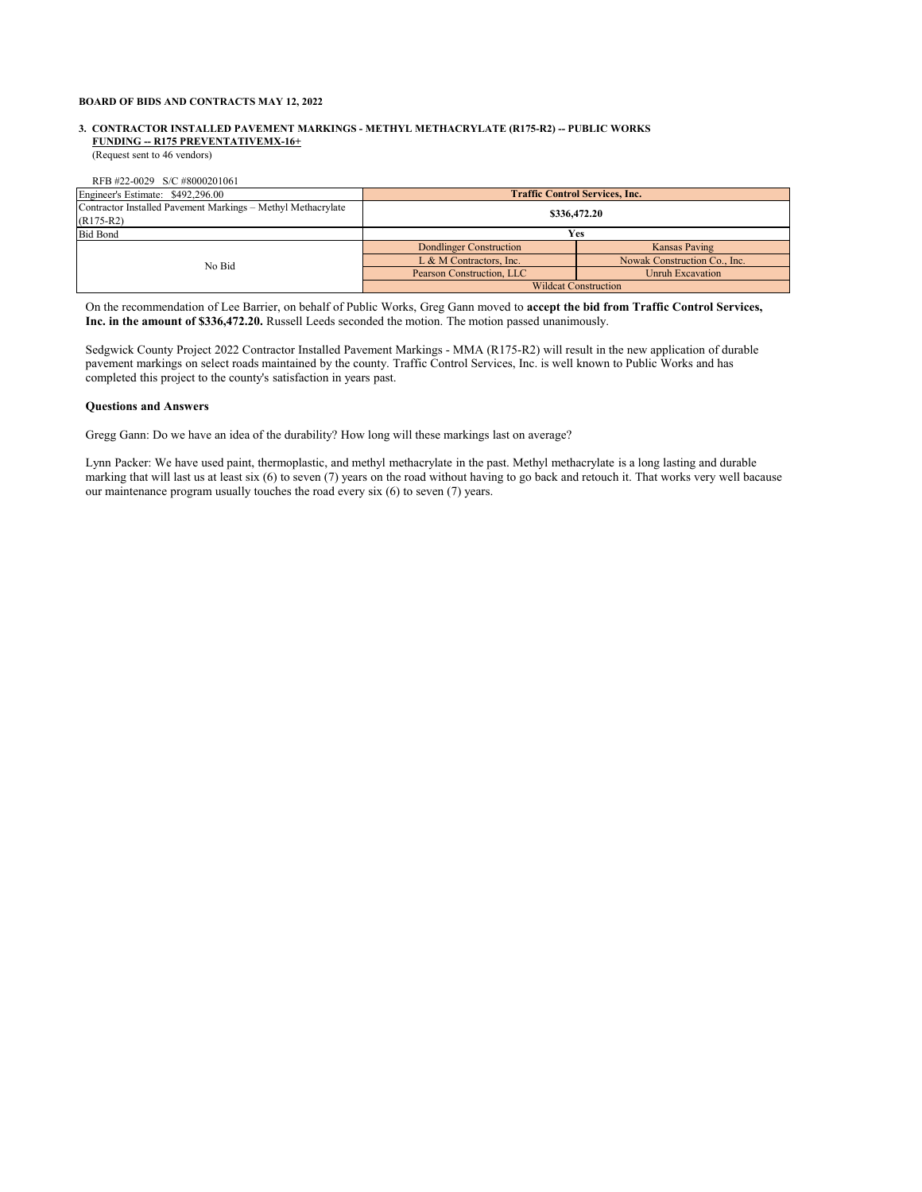#### **3. CONTRACTOR INSTALLED PAVEMENT MARKINGS - METHYL METHACRYLATE (R175-R2) -- PUBLIC WORKS FUNDING -- R175 PREVENTATIVEMX-16+**

(Request sent to 46 vendors)

| RFB #22-0029 S/C #8000201061                                 |                                       |                              |
|--------------------------------------------------------------|---------------------------------------|------------------------------|
| Engineer's Estimate: \$492,296.00                            | <b>Traffic Control Services, Inc.</b> |                              |
| Contractor Installed Pavement Markings - Methyl Methacrylate | \$336,472.20                          |                              |
| $(R175-R2)$                                                  |                                       |                              |
| <b>Bid Bond</b>                                              | Yes                                   |                              |
|                                                              | Dondlinger Construction               | Kansas Paving                |
| No Bid                                                       | L & M Contractors, Inc.               | Nowak Construction Co., Inc. |
|                                                              | Pearson Construction, LLC             | Unruh Excavation             |
|                                                              | <b>Wildcat Construction</b>           |                              |

On the recommendation of Lee Barrier, on behalf of Public Works, Greg Gann moved to **accept the bid from Traffic Control Services, Inc. in the amount of \$336,472.20.** Russell Leeds seconded the motion. The motion passed unanimously.

Sedgwick County Project 2022 Contractor Installed Pavement Markings - MMA (R175-R2) will result in the new application of durable pavement markings on select roads maintained by the county. Traffic Control Services, Inc. is well known to Public Works and has completed this project to the county's satisfaction in years past.

#### **Questions and Answers**

Gregg Gann: Do we have an idea of the durability? How long will these markings last on average?

Lynn Packer: We have used paint, thermoplastic, and methyl methacrylate in the past. Methyl methacrylate is a long lasting and durable marking that will last us at least six (6) to seven (7) years on the road without having to go back and retouch it. That works very well bacause our maintenance program usually touches the road every six (6) to seven (7) years.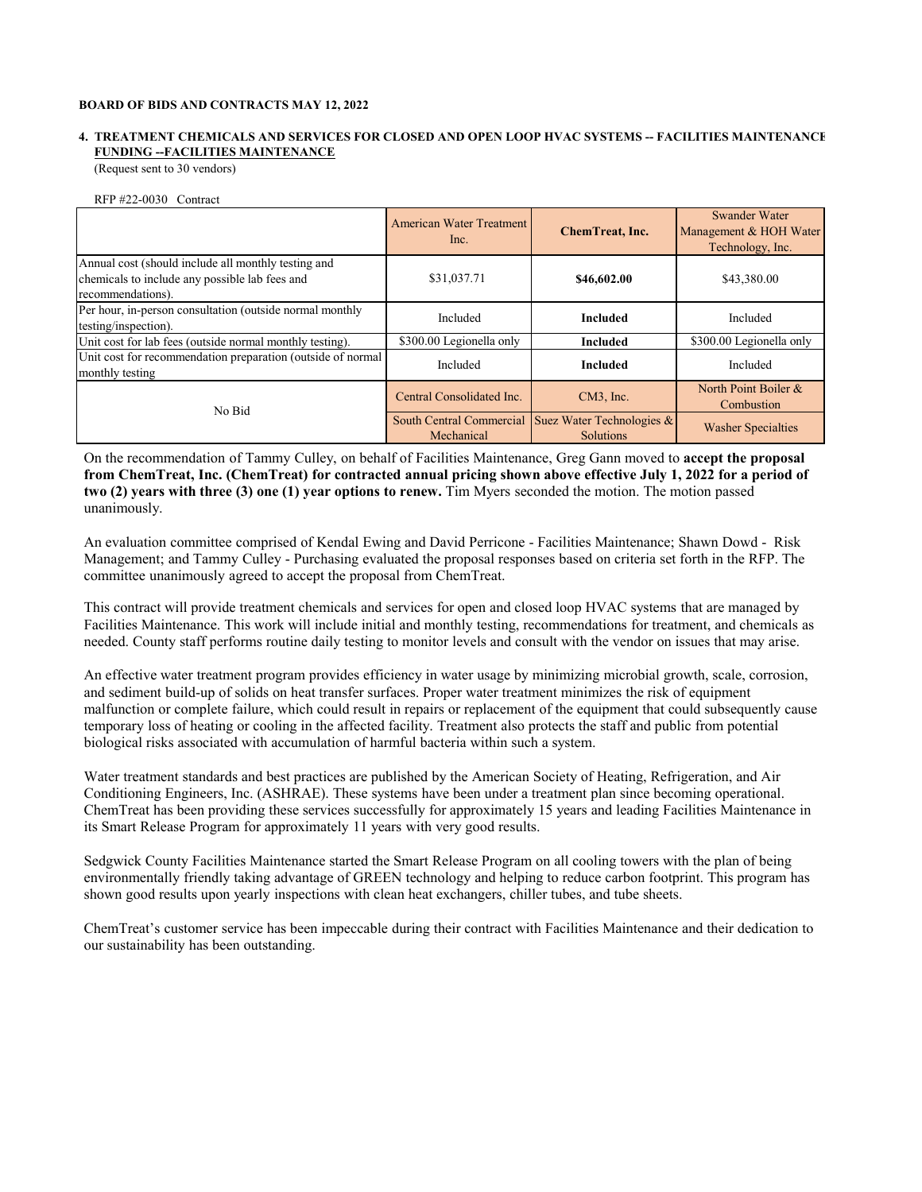### **FUNDING --FACILITIES MAINTENANCE 4. TREATMENT CHEMICALS AND SERVICES FOR CLOSED AND OPEN LOOP HVAC SYSTEMS -- FACILITIES MAINTENANCE**

(Request sent to 30 vendors)

#### RFP #22-0030 Contract

|                                                                                                                            | American Water Treatment<br>Inc. | <b>ChemTreat, Inc.</b>                                                 | Swander Water<br>Management & HOH Water<br>Technology, Inc. |
|----------------------------------------------------------------------------------------------------------------------------|----------------------------------|------------------------------------------------------------------------|-------------------------------------------------------------|
| Annual cost (should include all monthly testing and<br>chemicals to include any possible lab fees and<br>recommendations). | \$31,037.71                      | \$46,602.00                                                            | \$43,380.00                                                 |
| Per hour, in-person consultation (outside normal monthly<br>testing/inspection).                                           | Included                         | <b>Included</b>                                                        | Included                                                    |
| Unit cost for lab fees (outside normal monthly testing).                                                                   | \$300.00 Legionella only         | <b>Included</b>                                                        | \$300.00 Legionella only                                    |
| Unit cost for recommendation preparation (outside of normal<br>monthly testing                                             | Included                         | <b>Included</b>                                                        | Included                                                    |
| No Bid                                                                                                                     | Central Consolidated Inc.        | CM3, Inc.                                                              | North Point Boiler &<br>Combustion                          |
|                                                                                                                            | Mechanical                       | South Central Commercial Suez Water Technologies &<br><b>Solutions</b> | <b>Washer Specialties</b>                                   |

On the recommendation of Tammy Culley, on behalf of Facilities Maintenance, Greg Gann moved to **accept the proposal from ChemTreat, Inc. (ChemTreat) for contracted annual pricing shown above effective July 1, 2022 for a period of two (2) years with three (3) one (1) year options to renew.** Tim Myers seconded the motion. The motion passed unanimously.

An evaluation committee comprised of Kendal Ewing and David Perricone - Facilities Maintenance; Shawn Dowd - Risk Management; and Tammy Culley - Purchasing evaluated the proposal responses based on criteria set forth in the RFP. The committee unanimously agreed to accept the proposal from ChemTreat.

This contract will provide treatment chemicals and services for open and closed loop HVAC systems that are managed by Facilities Maintenance. This work will include initial and monthly testing, recommendations for treatment, and chemicals as needed. County staff performs routine daily testing to monitor levels and consult with the vendor on issues that may arise.

An effective water treatment program provides efficiency in water usage by minimizing microbial growth, scale, corrosion, and sediment build-up of solids on heat transfer surfaces. Proper water treatment minimizes the risk of equipment malfunction or complete failure, which could result in repairs or replacement of the equipment that could subsequently cause temporary loss of heating or cooling in the affected facility. Treatment also protects the staff and public from potential biological risks associated with accumulation of harmful bacteria within such a system.

Water treatment standards and best practices are published by the American Society of Heating, Refrigeration, and Air Conditioning Engineers, Inc. (ASHRAE). These systems have been under a treatment plan since becoming operational. ChemTreat has been providing these services successfully for approximately 15 years and leading Facilities Maintenance in its Smart Release Program for approximately 11 years with very good results.

Sedgwick County Facilities Maintenance started the Smart Release Program on all cooling towers with the plan of being environmentally friendly taking advantage of GREEN technology and helping to reduce carbon footprint. This program has shown good results upon yearly inspections with clean heat exchangers, chiller tubes, and tube sheets.

ChemTreat's customer service has been impeccable during their contract with Facilities Maintenance and their dedication to our sustainability has been outstanding.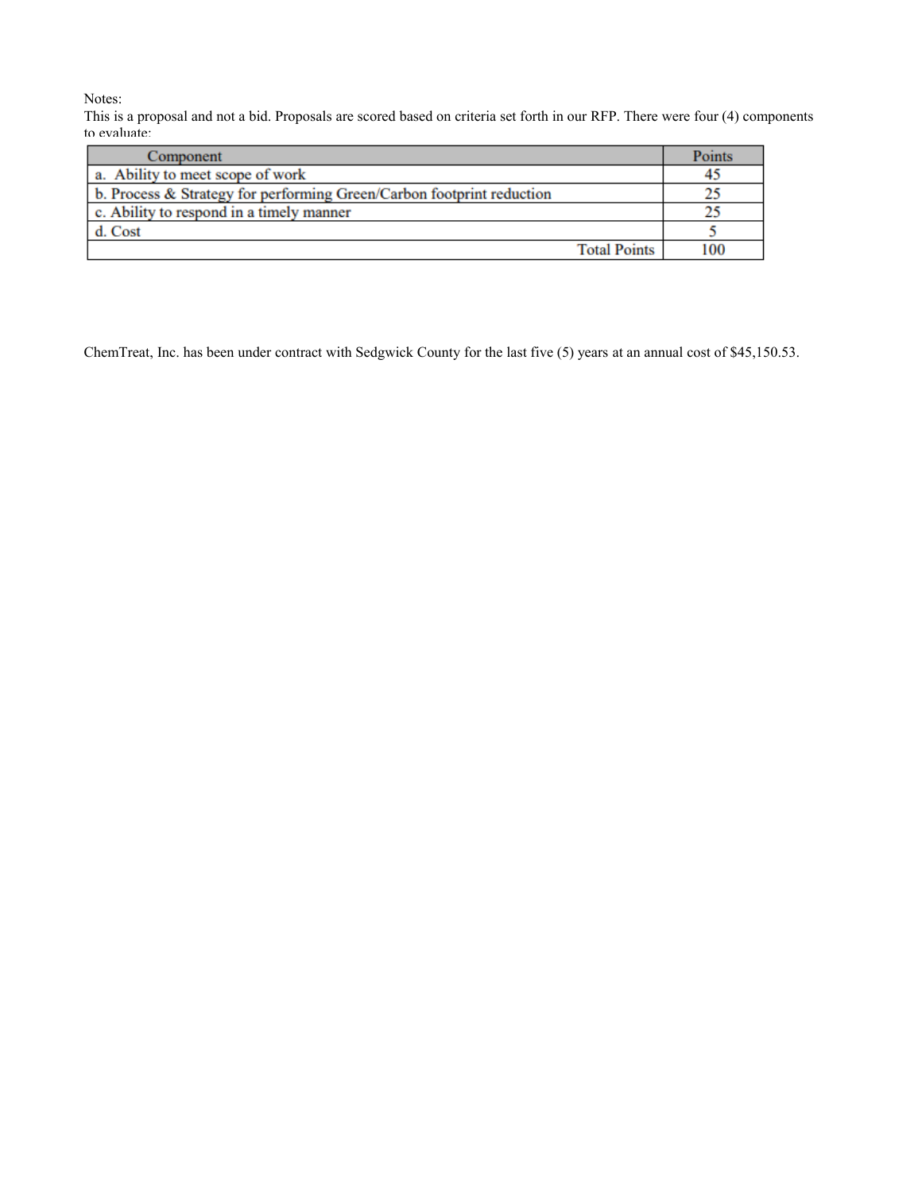Notes:

This is a proposal and not a bid. Proposals are scored based on criteria set forth in our RFP. There were four (4) components to evaluate:

| Component                                                             | Points                     |
|-----------------------------------------------------------------------|----------------------------|
| a. Ability to meet scope of work                                      |                            |
| b. Process & Strategy for performing Green/Carbon footprint reduction |                            |
| c. Ability to respond in a timely manner                              |                            |
| d. Cost                                                               |                            |
|                                                                       | <b>Total Points</b><br>100 |

ChemTreat, Inc. has been under contract with Sedgwick County for the last five (5) years at an annual cost of \$45,150.53.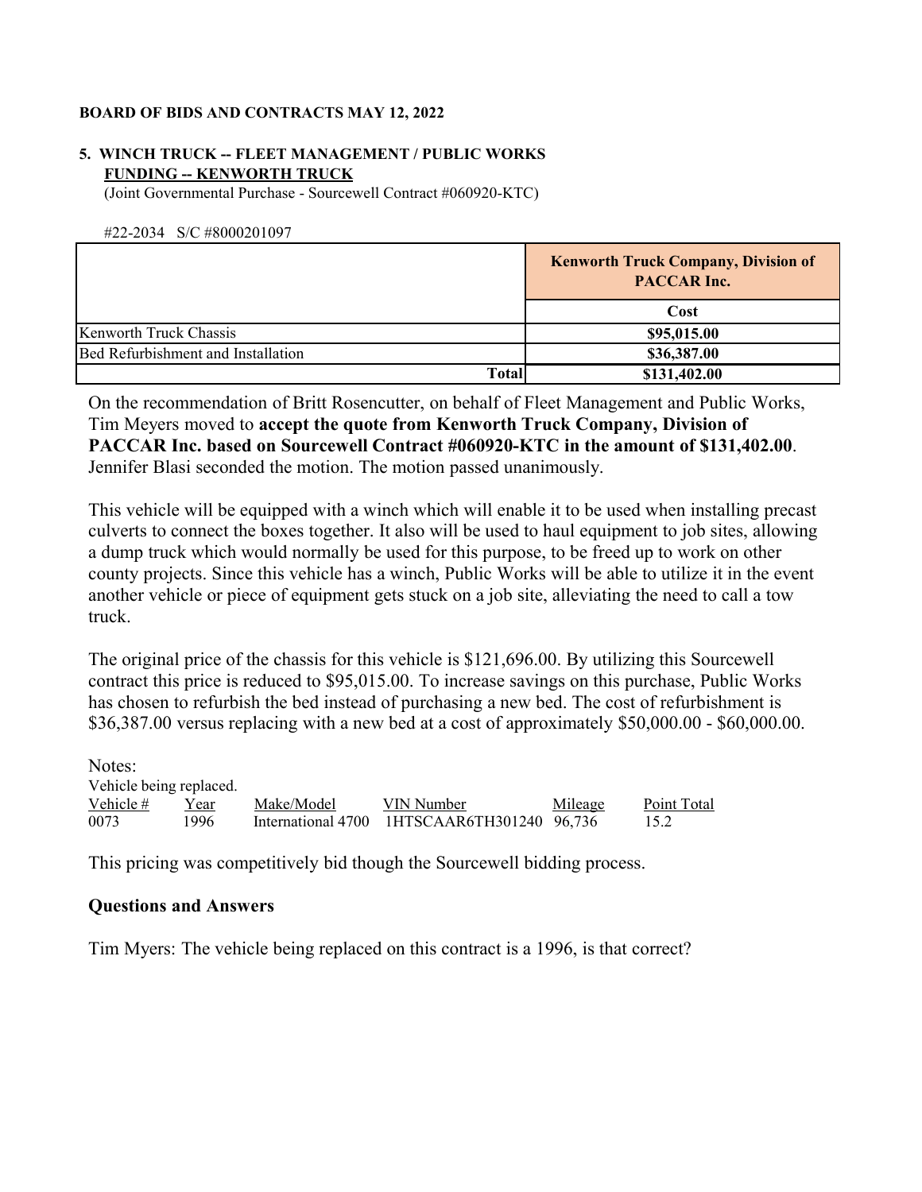# **5. WINCH TRUCK -- FLEET MANAGEMENT / PUBLIC WORKS FUNDING -- KENWORTH TRUCK**

(Joint Governmental Purchase - Sourcewell Contract #060920-KTC)

## #22-2034 S/C #8000201097

|                                    | <b>Kenworth Truck Company, Division of</b><br><b>PACCAR Inc.</b> |
|------------------------------------|------------------------------------------------------------------|
|                                    | Cost                                                             |
| Kenworth Truck Chassis             | \$95,015.00                                                      |
| Bed Refurbishment and Installation | \$36,387.00                                                      |
| Total                              | \$131,402.00                                                     |

On the recommendation of Britt Rosencutter, on behalf of Fleet Management and Public Works, Tim Meyers moved to **accept the quote from Kenworth Truck Company, Division of PACCAR Inc. based on Sourcewell Contract #060920-KTC in the amount of \$131,402.00**. Jennifer Blasi seconded the motion. The motion passed unanimously.

This vehicle will be equipped with a winch which will enable it to be used when installing precast culverts to connect the boxes together. It also will be used to haul equipment to job sites, allowing a dump truck which would normally be used for this purpose, to be freed up to work on other county projects. Since this vehicle has a winch, Public Works will be able to utilize it in the event another vehicle or piece of equipment gets stuck on a job site, alleviating the need to call a tow truck.

The original price of the chassis for this vehicle is \$121,696.00. By utilizing this Sourcewell contract this price is reduced to \$95,015.00. To increase savings on this purchase, Public Works has chosen to refurbish the bed instead of purchasing a new bed. The cost of refurbishment is \$36,387.00 versus replacing with a new bed at a cost of approximately \$50,000.00 - \$60,000.00.

Notes: Vehicle being replaced. Vehicle # Year Make/Model VIN Number Mileage Point Total 0073 1996 International 4700 1HTSCAAR6TH301240 96,736 15.2

This pricing was competitively bid though the Sourcewell bidding process.

# **Questions and Answers**

Tim Myers: The vehicle being replaced on this contract is a 1996, is that correct?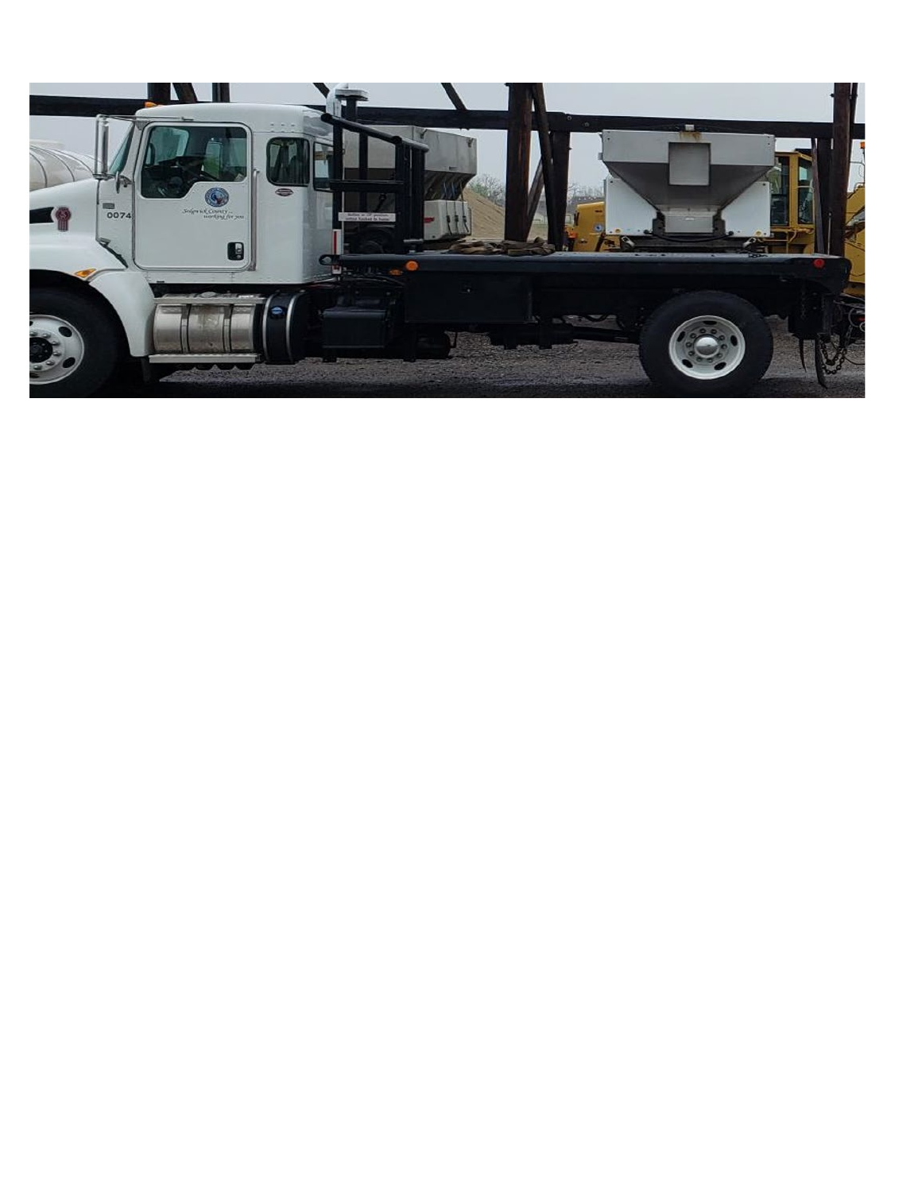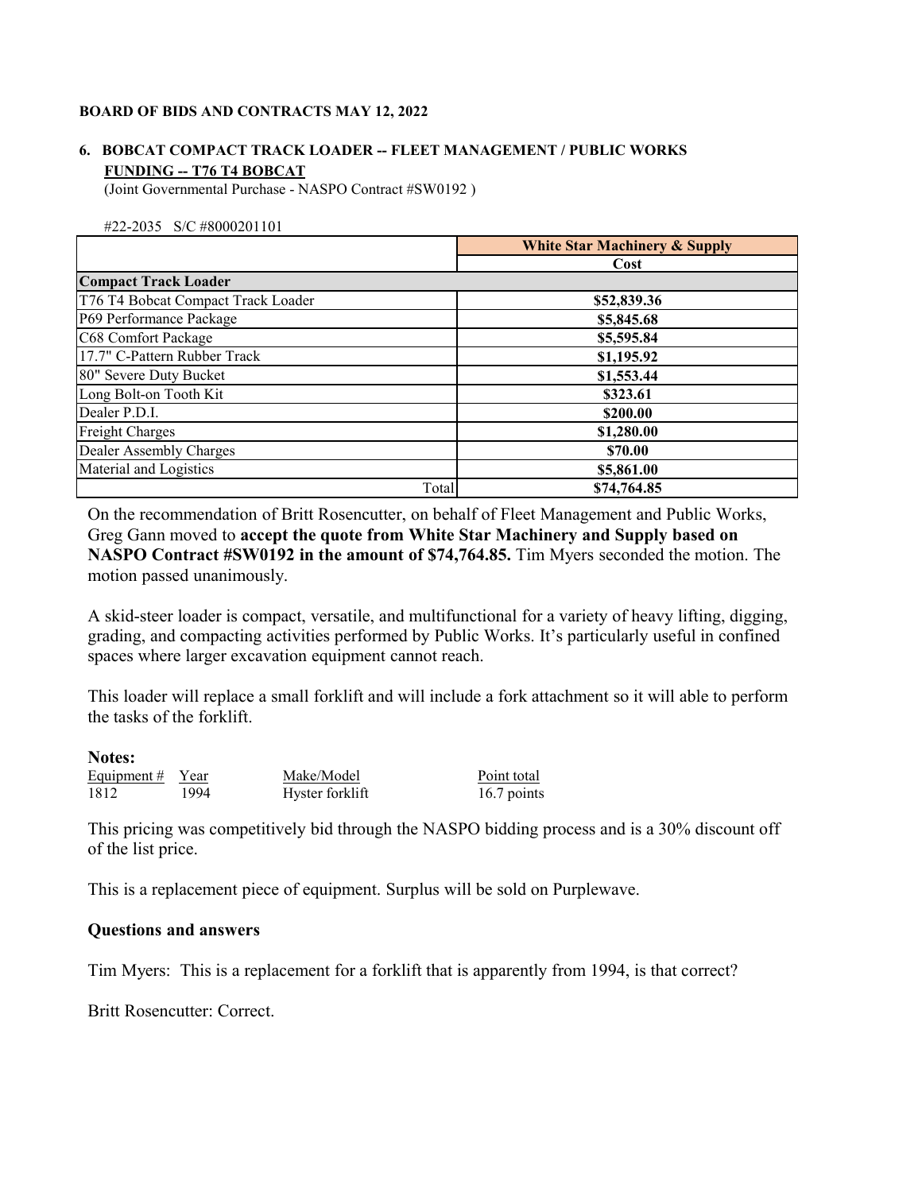# **FUNDING -- T76 T4 BOBCAT 6. BOBCAT COMPACT TRACK LOADER -- FLEET MANAGEMENT / PUBLIC WORKS**

(Joint Governmental Purchase - NASPO Contract #SW0192 )

#22-2035 S/C #8000201101

|                                    | <b>White Star Machinery &amp; Supply</b> |  |
|------------------------------------|------------------------------------------|--|
|                                    | Cost                                     |  |
| <b>Compact Track Loader</b>        |                                          |  |
| T76 T4 Bobcat Compact Track Loader | \$52,839.36                              |  |
| P69 Performance Package            | \$5,845.68                               |  |
| C68 Comfort Package                | \$5,595.84                               |  |
| 17.7" C-Pattern Rubber Track       | \$1,195.92                               |  |
| 80" Severe Duty Bucket             | \$1,553.44                               |  |
| Long Bolt-on Tooth Kit             | \$323.61                                 |  |
| Dealer P.D.I.                      | \$200.00                                 |  |
| <b>Freight Charges</b>             | \$1,280.00                               |  |
| Dealer Assembly Charges            | \$70.00                                  |  |
| Material and Logistics             | \$5,861.00                               |  |
| Total                              | \$74,764.85                              |  |

On the recommendation of Britt Rosencutter, on behalf of Fleet Management and Public Works, Greg Gann moved to **accept the quote from White Star Machinery and Supply based on NASPO Contract #SW0192 in the amount of \$74,764.85.** Tim Myers seconded the motion. The motion passed unanimously.

A skid-steer loader is compact, versatile, and multifunctional for a variety of heavy lifting, digging, grading, and compacting activities performed by Public Works. It's particularly useful in confined spaces where larger excavation equipment cannot reach.

This loader will replace a small forklift and will include a fork attachment so it will able to perform the tasks of the forklift.

## **Notes:**

| Equipment $#$ Year |      | Make/Model      | Point total |
|--------------------|------|-----------------|-------------|
| 1812               | 1994 | Hyster forklift | 16.7 points |

This pricing was competitively bid through the NASPO bidding process and is a 30% discount off of the list price.

This is a replacement piece of equipment. Surplus will be sold on Purplewave.

# **Questions and answers**

Tim Myers: This is a replacement for a forklift that is apparently from 1994, is that correct?

Britt Rosencutter: Correct.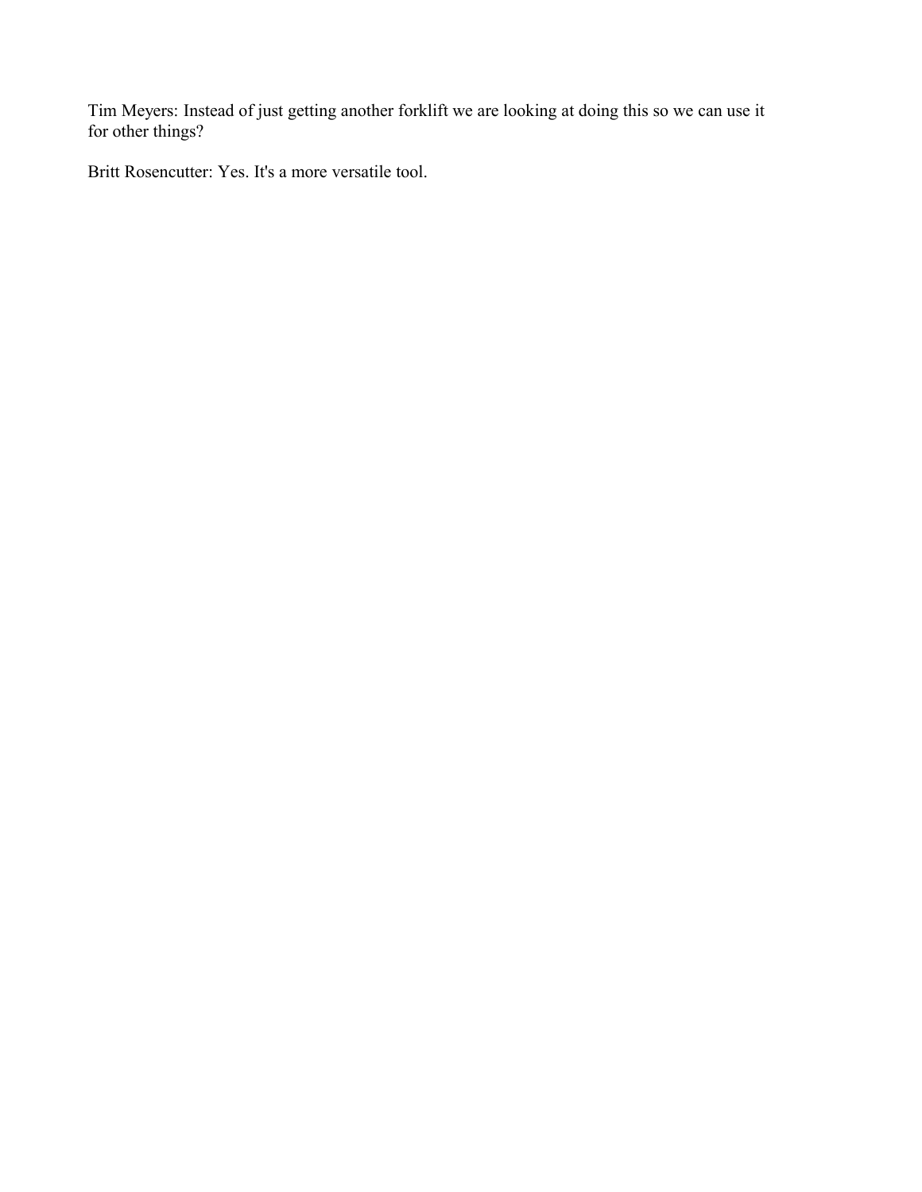Tim Meyers: Instead of just getting another forklift we are looking at doing this so we can use it for other things?

Britt Rosencutter: Yes. It's a more versatile tool.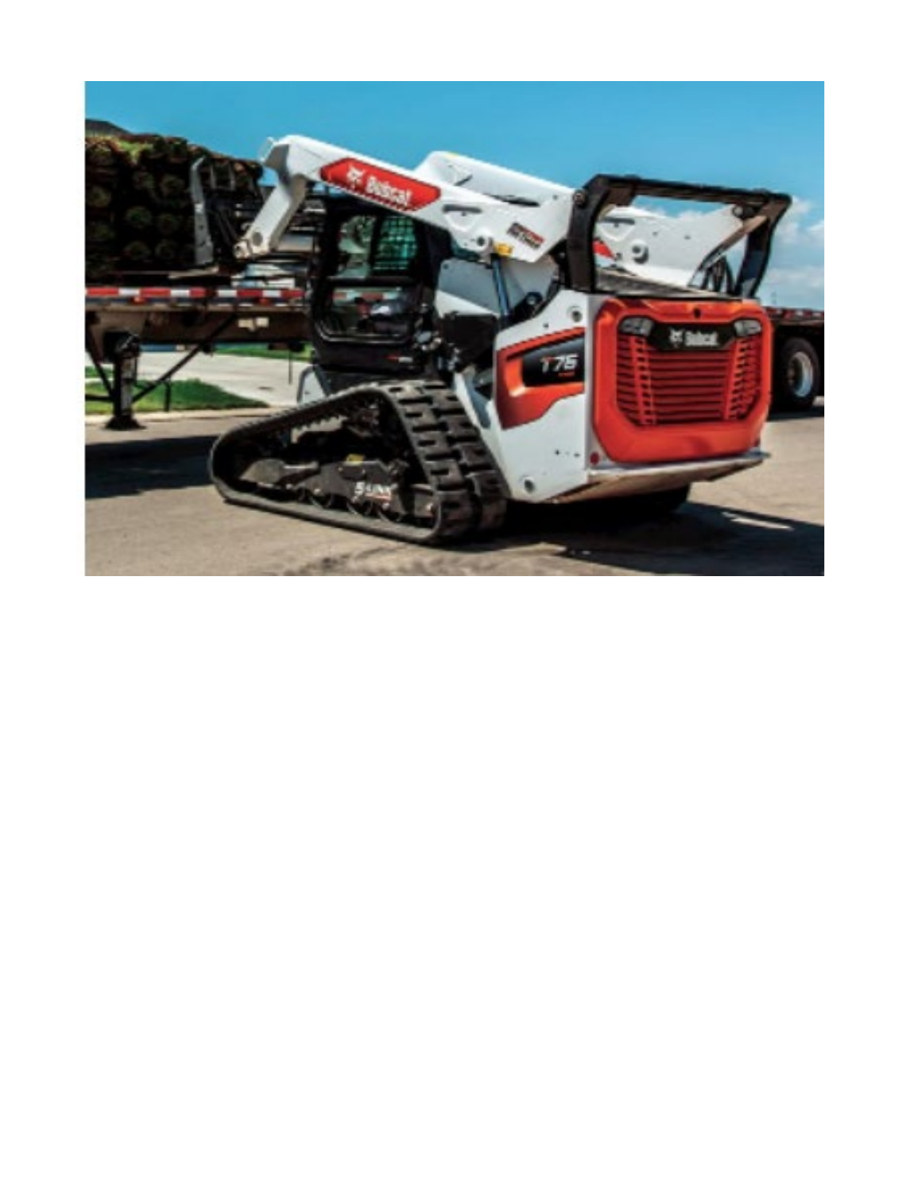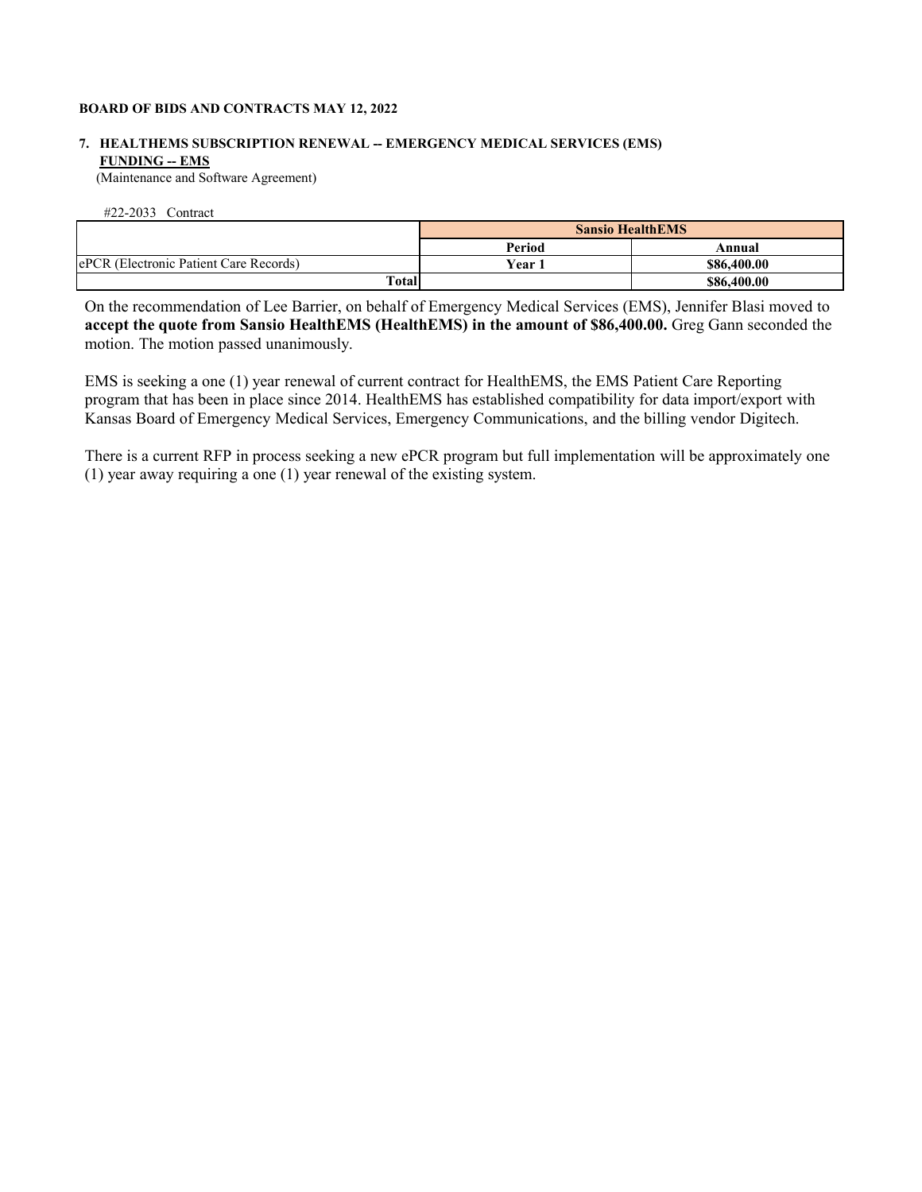## **FUNDING -- EMS 7. HEALTHEMS SUBSCRIPTION RENEWAL -- EMERGENCY MEDICAL SERVICES (EMS)**

(Maintenance and Software Agreement)

#22-2033 Contract

|                                        | <b>Sansio HealthEMS</b> |             |
|----------------------------------------|-------------------------|-------------|
|                                        | Period                  | Annual      |
| ePCR (Electronic Patient Care Records) | Year.                   | \$86,400.00 |
| <b>Total</b>                           |                         | \$86,400.00 |

On the recommendation of Lee Barrier, on behalf of Emergency Medical Services (EMS), Jennifer Blasi moved to **accept the quote from Sansio HealthEMS (HealthEMS) in the amount of \$86,400.00.** Greg Gann seconded the motion. The motion passed unanimously.

EMS is seeking a one (1) year renewal of current contract for HealthEMS, the EMS Patient Care Reporting program that has been in place since 2014. HealthEMS has established compatibility for data import/export with Kansas Board of Emergency Medical Services, Emergency Communications, and the billing vendor Digitech.

There is a current RFP in process seeking a new ePCR program but full implementation will be approximately one (1) year away requiring a one (1) year renewal of the existing system.